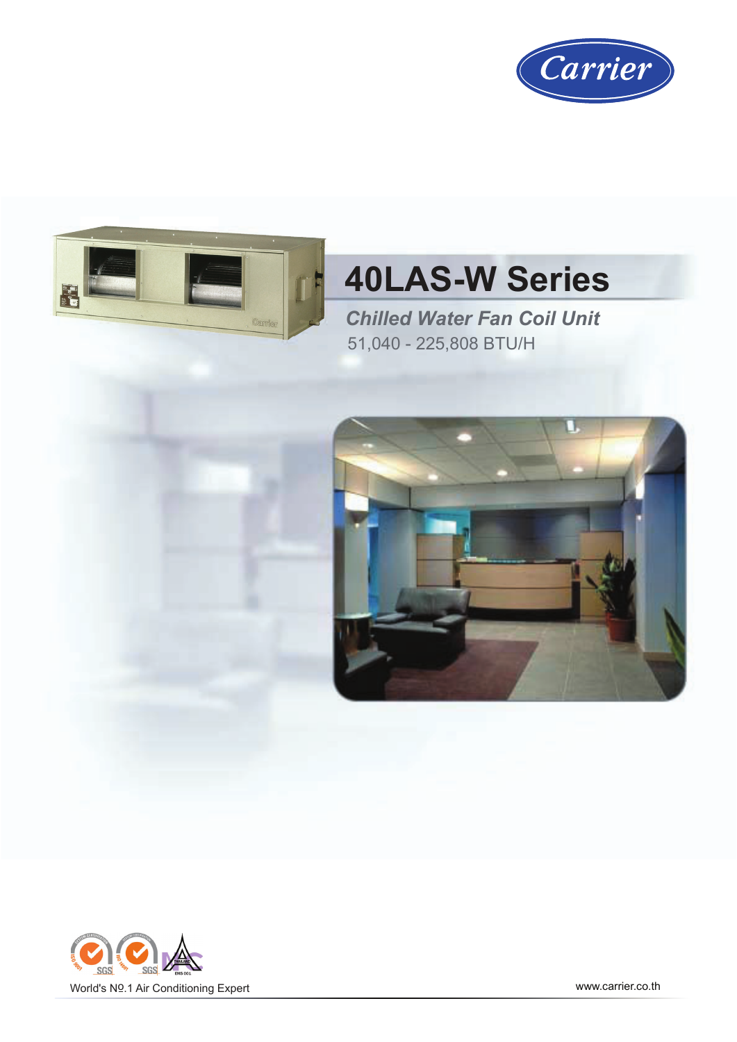



# **40LAS-W Series**

*Chilled Water Fan Coil Unit* 51,040 - 225,808 BTU/H



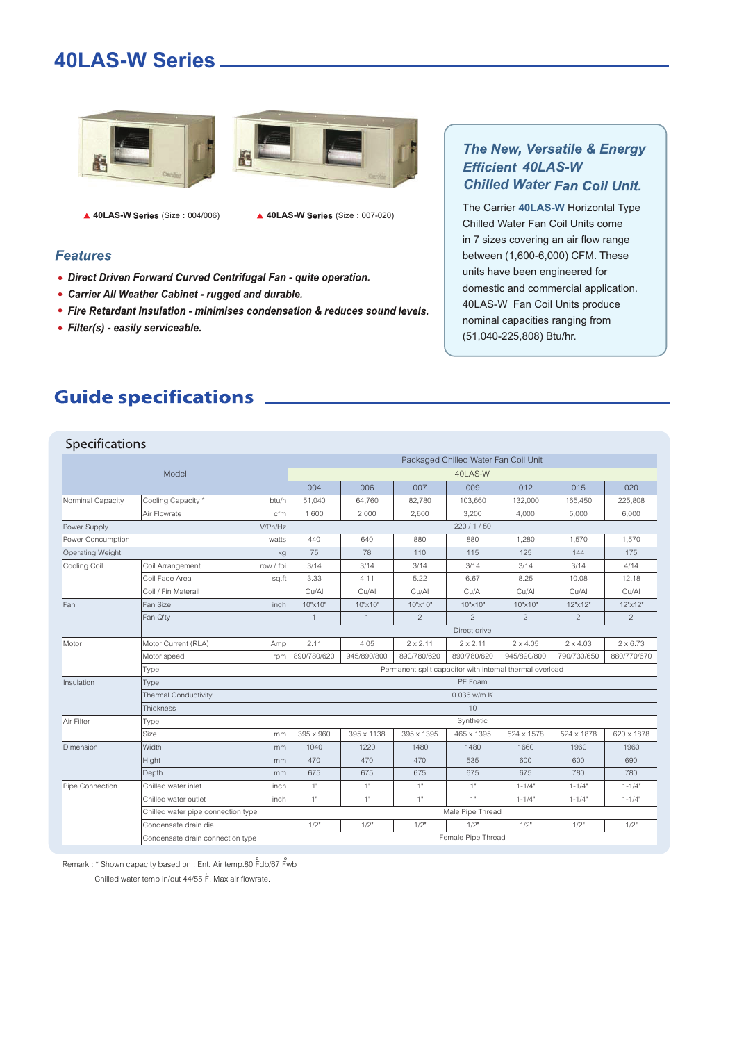### **40LAS-W Series**





▲ 40LAS-W Series (Size : 004/006) **▲ 40LAS-W Series (Size : 007-020)** 

#### **Features**

- Direct Driven Forward Curved Centrifugal Fan quite operation.
- Carrier All Weather Cabinet rugged and durable.
- Fire Retardant Insulation minimises condensation & reduces sound levels.
- Filter(s) easily serviceable.

#### The New, Versatile & Energy *40LAS-W Chilled Water*

The Carrier **40LAS-W** Horizontal Type Chilled Water Fan Coil Units come in 7 sizes covering an air flow range between (1,600-6,000) CFM. These units have been engineered for domestic and commercial application. 40LAS-W Fan Coil Units produce nominal capacities ranging from (51,040-225,808) Btu/hr.

### **Guide specifications** \_\_\_\_\_\_\_\_

#### Specifications

|                         | Packaged Chilled Water Fan Coil Unit |                                                          |                  |                 |                 |                 |                 |                 |  |  |  |
|-------------------------|--------------------------------------|----------------------------------------------------------|------------------|-----------------|-----------------|-----------------|-----------------|-----------------|--|--|--|
|                         | Model                                | 40LAS-W                                                  |                  |                 |                 |                 |                 |                 |  |  |  |
|                         |                                      | 004                                                      | 006              | 007             | 009             | 012             | 015             | 020             |  |  |  |
| Norminal Capacity       | Cooling Capacity *<br>btu/h          | 51,040                                                   | 64,760           | 82,780          | 103,660         | 132,000         | 165,450         | 225,808         |  |  |  |
|                         | Air Flowrate<br>cfm                  | 1,600                                                    | 2,000            | 2,600           | 3,200           | 4,000           | 5,000           | 6,000           |  |  |  |
| Power Supply            | V/Ph/Hz                              | 220/1/50                                                 |                  |                 |                 |                 |                 |                 |  |  |  |
| Power Concumption       | watts                                | 440                                                      | 640              | 880             | 880             | 1,280           | 1,570           | 1,570           |  |  |  |
| Operating Weight        | kg                                   | 75                                                       | 78               | 110             | 115             | 125             | 144             | 175             |  |  |  |
| Cooling Coil            | Coil Arrangement<br>row / fpi        | 3/14                                                     | 3/14             | 3/14            | 3/14            | 3/14            | 3/14            | 4/14            |  |  |  |
|                         | Coil Face Area<br>sq.ft              | 3.33                                                     | 4.11             | 5.22            | 6.67            | 8.25            | 10.08           | 12.18           |  |  |  |
|                         | Coil / Fin Materail                  | Cu/Al                                                    | Cu/Al            | Cu/Al           | Cu/Al           | Cu/Al           | Cu/Al           | Cu/Al           |  |  |  |
| Fan                     | Fan Size<br>inch                     | 10"×10"                                                  | 10"x10"          | 10"x10"         | 10"×10"         | 10"x10"         | 12"x12"         | 12"x12"         |  |  |  |
|                         | Fan Q'ty                             | $\overline{1}$                                           | $\mathbf{1}$     | 2               | $\overline{2}$  | $\overline{2}$  | $\overline{2}$  | $\overline{2}$  |  |  |  |
|                         |                                      | Direct drive                                             |                  |                 |                 |                 |                 |                 |  |  |  |
| Motor                   | Motor Current (RLA)<br>Amp           | 2.11                                                     | 4.05             | $2 \times 2.11$ | $2 \times 2.11$ | $2 \times 4.05$ | $2 \times 4.03$ | $2 \times 6.73$ |  |  |  |
|                         | Motor speed<br>rpm                   | 890/780/620                                              | 945/890/800      | 890/780/620     | 890/780/620     | 945/890/800     | 790/730/650     | 880/770/670     |  |  |  |
|                         | Type                                 | Permanent split capacitor with internal thermal overload |                  |                 |                 |                 |                 |                 |  |  |  |
| Insulation              | Type                                 | PE Foam                                                  |                  |                 |                 |                 |                 |                 |  |  |  |
|                         | <b>Thermal Conductivity</b>          | 0.036 w/m.K                                              |                  |                 |                 |                 |                 |                 |  |  |  |
| Air Filter<br>Dimension | Thickness                            | 10                                                       |                  |                 |                 |                 |                 |                 |  |  |  |
|                         | Type                                 |                                                          |                  |                 | Synthetic       |                 |                 |                 |  |  |  |
|                         | Size<br>mm                           | 395 x 960                                                | 395 x 1138       | 395 x 1395      | 465 x 1395      | 524 x 1578      | 524 x 1878      | 620 x 1878      |  |  |  |
|                         | <b>Width</b><br>mm                   | 1040                                                     | 1220             | 1480            | 1480            | 1660            | 1960            | 1960            |  |  |  |
|                         | Hight<br>mm                          | 470                                                      | 470              | 470             | 535             | 600             | 600             | 690             |  |  |  |
|                         | Depth<br>mm                          | 675                                                      | 675              | 675             | 675             | 675             | 780             | 780             |  |  |  |
| Pipe Connection         | Chilled water inlet<br>inch          | 1"                                                       | 1"               | 1"              | 1"              | $1 - 1/4"$      | $1 - 1/4"$      | $1 - 1/4"$      |  |  |  |
|                         | Chilled water outlet<br>inch         | 1"                                                       | 1"               | 1"              | 1"              | $1 - 1/4"$      | $1 - 1/4"$      | $1 - 1/4"$      |  |  |  |
|                         | Chilled water pipe connection type   |                                                          | Male Pipe Thread |                 |                 |                 |                 |                 |  |  |  |
|                         | Condensate drain dia.                | 1/2"                                                     | 1/2"             | 1/2"            | 1/2"            | 1/2"            | 1/2"            | 1/2"            |  |  |  |
|                         | Condensate drain connection type     | Female Pipe Thread                                       |                  |                 |                 |                 |                 |                 |  |  |  |

Remark : \* Shown capacity based on : Ent. Air temp.80  $\rho$ <sup>2</sup>db/67 P Chilled water temp in/out 44/55  $\hat{F}$ , Max air flowrate.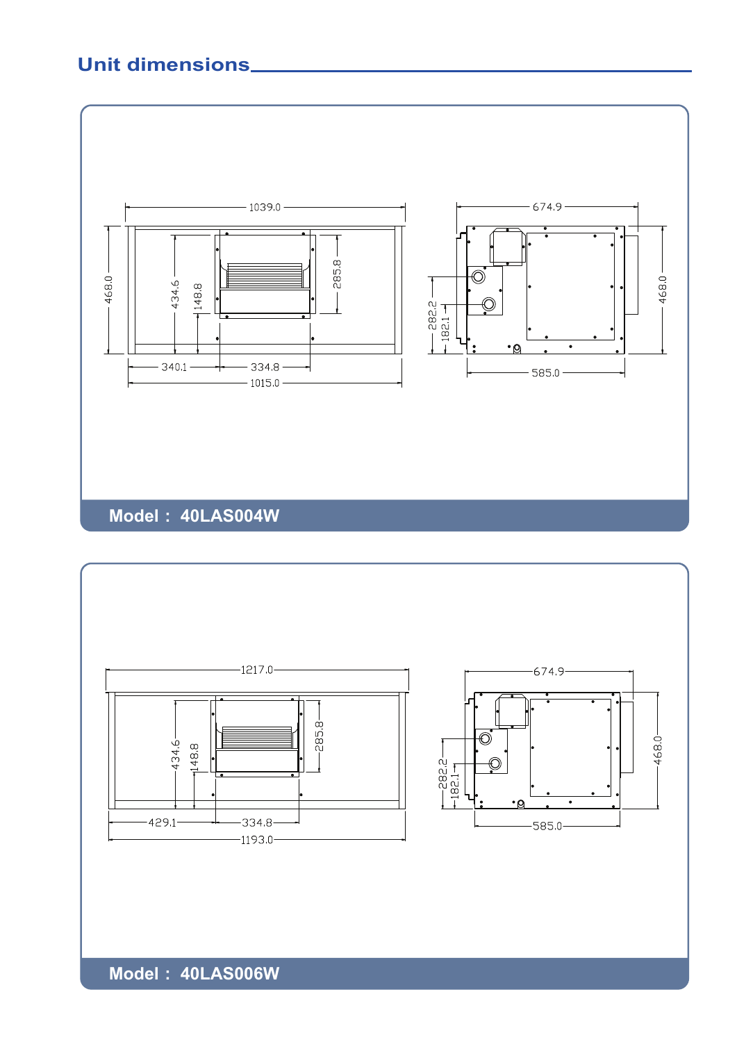### **Unit dimensions**





**Model : 40LAS006W**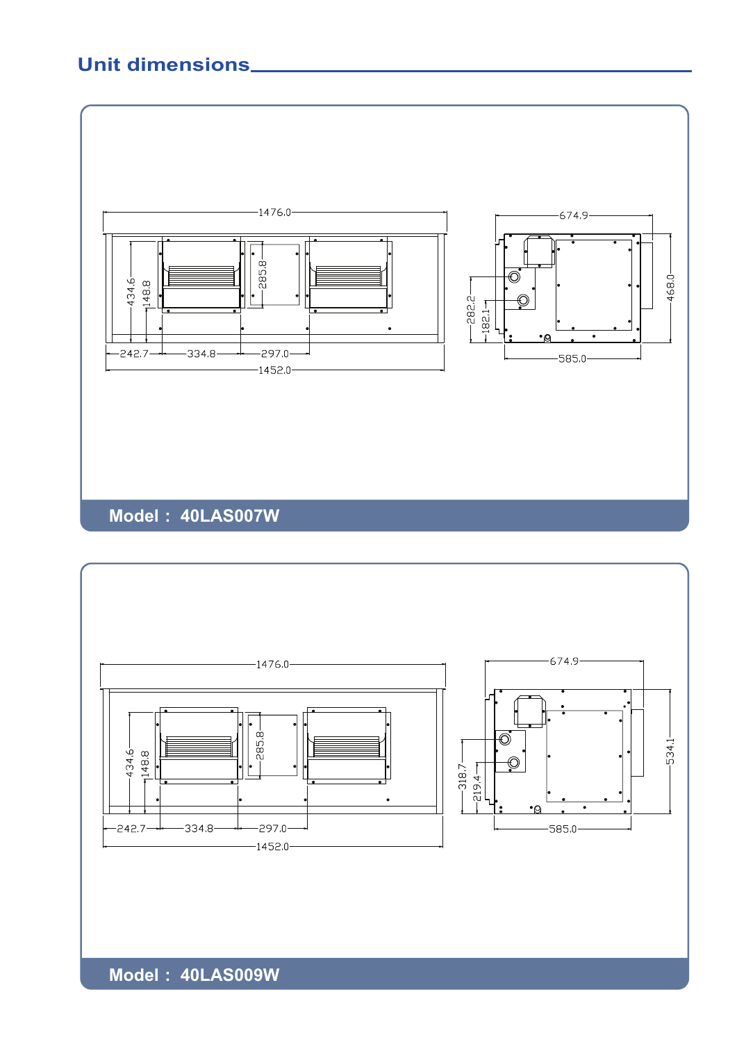### **Unit dimensions**





**Model : 40LAS009W**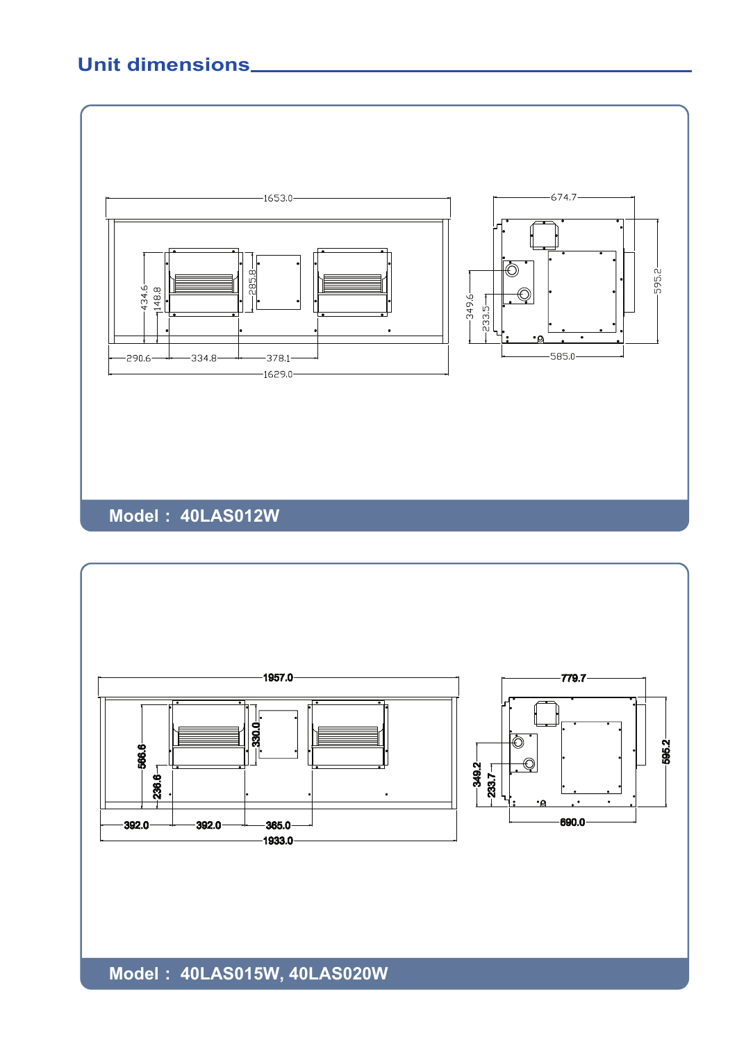## **Unit dimensions**





**Model : 40LAS015W, 40LAS020W**